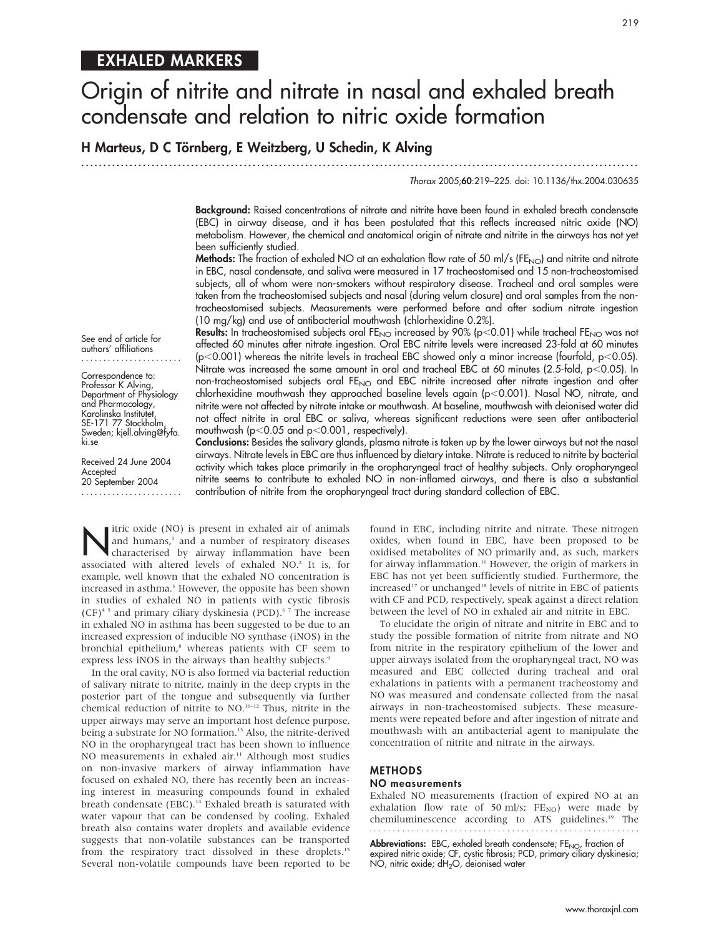# EXHALED MARKERS

# Origin of nitrite and nitrate in nasal and exhaled breath condensate and relation to nitric oxide formation

# H Marteus, D C Törnberg, E Weitzberg, U Schedin, K Alving

...............................................................................................................................

Thorax 2005;60:219–225. doi: 10.1136/thx.2004.030635

Background: Raised concentrations of nitrate and nitrite have been found in exhaled breath condensate (EBC) in airway disease, and it has been postulated that this reflects increased nitric oxide (NO) metabolism. However, the chemical and anatomical origin of nitrate and nitrite in the airways has not yet been sufficiently studied.

**Methods:** The fraction of exhaled NO at an exhalation flow rate of 50 ml/s (FE<sub>NO</sub>) and nitrite and nitrate in EBC, nasal condensate, and saliva were measured in 17 tracheostomised and 15 non-tracheostomised subjects, all of whom were non-smokers without respiratory disease. Tracheal and oral samples were taken from the tracheostomised subjects and nasal (during velum closure) and oral samples from the nontracheostomised subjects. Measurements were performed before and after sodium nitrate ingestion (10 mg/kg) and use of antibacterial mouthwash (chlorhexidine 0.2%).

Results: In tracheostomised subjects oral FE<sub>NO</sub> increased by 90% (p<0.01) while tracheal FE<sub>NO</sub> was not affected 60 minutes after nitrate ingestion. Oral EBC nitrite levels were increased 23-fold at 60 minutes (p<0.001) whereas the nitrite levels in tracheal EBC showed only a minor increase (fourfold, p<0.05). Nitrate was increased the same amount in oral and tracheal EBC at 60 minutes (2.5-fold,  $p<$  0.05). In non-tracheostomised subjects oral FE<sub>NO</sub> and EBC nitrite increased after nitrate ingestion and after chlorhexidine mouthwash they approached baseline levels again (p<0.001). Nasal NO, nitrate, and nitrite were not affected by nitrate intake or mouthwash. At baseline, mouthwash with deionised water did not affect nitrite in oral EBC or saliva, whereas significant reductions were seen after antibacterial mouthwash ( $p<0.05$  and  $p<0.001$ , respectively).

See end of article for authors' affiliations .......................

Correspondence to: Professor K Alving, Department of Physiology and Pharmacology, Karolinska Institutet, SE-171 77 Stockholm, Sweden; kjell.alving@fyfa. ki.se

Received 24 June 2004 Accepted 20 September 2004 ....................... Conclusions: Besides the salivary glands, plasma nitrate is taken up by the lower airways but not the nasal airways. Nitrate levels in EBC are thus influenced by dietary intake. Nitrate is reduced to nitrite by bacterial activity which takes place primarily in the oropharyngeal tract of healthy subjects. Only oropharyngeal nitrite seems to contribute to exhaled NO in non-inflamed airways, and there is also a substantial contribution of nitrite from the oropharyngeal tract during standard collection of EBC.

Itric oxide (NO) is present in exhaled air of animals<br>and humans,<sup>1</sup> and a number of respiratory diseases<br>characterised by airway inflammation have been and humans,<sup>1</sup> and a number of respiratory diseases associated with altered levels of exhaled NO.<sup>2</sup> It is, for example, well known that the exhaled NO concentration is increased in asthma.<sup>3</sup> However, the opposite has been shown in studies of exhaled NO in patients with cystic fibrosis  $(CF)^{4.5}$  and primary ciliary dyskinesia (PCD).<sup>6.7</sup> The increase in exhaled NO in asthma has been suggested to be due to an increased expression of inducible NO synthase (iNOS) in the bronchial epithelium,<sup>8</sup> whereas patients with CF seem to express less iNOS in the airways than healthy subjects.<sup>9</sup>

In the oral cavity, NO is also formed via bacterial reduction of salivary nitrate to nitrite, mainly in the deep crypts in the posterior part of the tongue and subsequently via further chemical reduction of nitrite to NO.10–12 Thus, nitrite in the upper airways may serve an important host defence purpose, being a substrate for NO formation.<sup>13</sup> Also, the nitrite-derived NO in the oropharyngeal tract has been shown to influence NO measurements in exhaled air.<sup>11</sup> Although most studies on non-invasive markers of airway inflammation have focused on exhaled NO, there has recently been an increasing interest in measuring compounds found in exhaled breath condensate (EBC).<sup>14</sup> Exhaled breath is saturated with water vapour that can be condensed by cooling. Exhaled breath also contains water droplets and available evidence suggests that non-volatile substances can be transported from the respiratory tract dissolved in these droplets.<sup>15</sup> Several non-volatile compounds have been reported to be

found in EBC, including nitrite and nitrate. These nitrogen oxides, when found in EBC, have been proposed to be oxidised metabolites of NO primarily and, as such, markers for airway inflammation.<sup>16</sup> However, the origin of markers in EBC has not yet been sufficiently studied. Furthermore, the increased<sup>17</sup> or unchanged<sup>18</sup> levels of nitrite in EBC of patients with CF and PCD, respectively, speak against a direct relation between the level of NO in exhaled air and nitrite in EBC.

To elucidate the origin of nitrate and nitrite in EBC and to study the possible formation of nitrite from nitrate and NO from nitrite in the respiratory epithelium of the lower and upper airways isolated from the oropharyngeal tract, NO was measured and EBC collected during tracheal and oral exhalations in patients with a permanent tracheostomy and NO was measured and condensate collected from the nasal airways in non-tracheostomised subjects. These measurements were repeated before and after ingestion of nitrate and mouthwash with an antibacterial agent to manipulate the concentration of nitrite and nitrate in the airways.

# **METHODS**

# NO measurements

Exhaled NO measurements (fraction of expired NO at an exhalation flow rate of 50 ml/s;  $FE_{NO}$ ) were made by chemiluminescence according to ATS guidelines.<sup>19</sup> The

Abbreviations: EBC, exhaled breath condensate; FE<sub>NO</sub>, fraction of expired nitric oxide; CF, cystic fibrosis; PCD, primary ciliary dyskinesia; NO, nitric oxide; dH<sub>2</sub>O, deionised water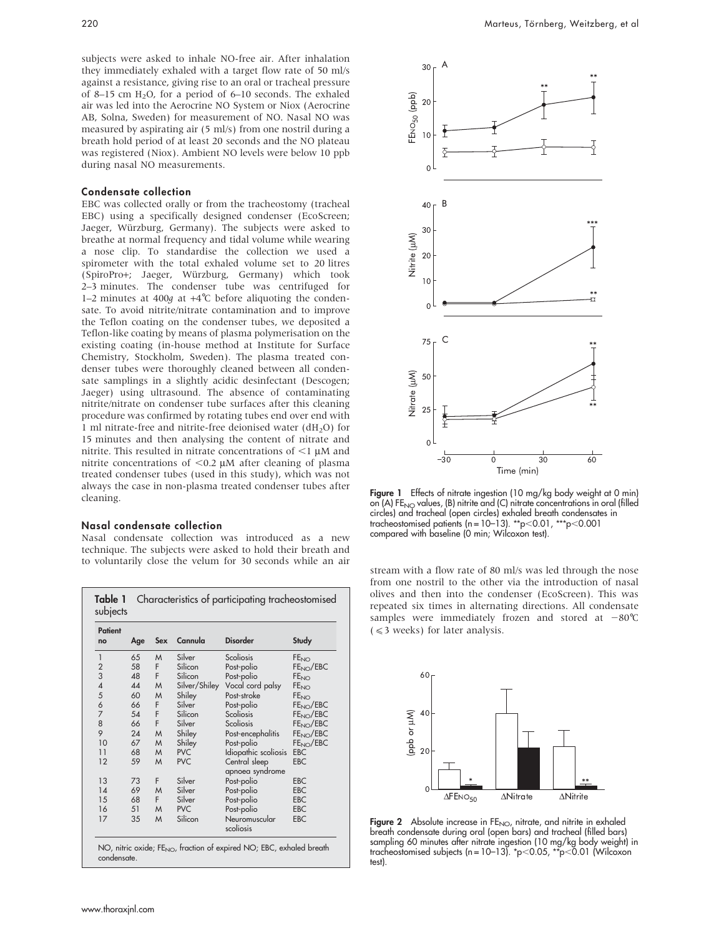subjects were asked to inhale NO-free air. After inhalation they immediately exhaled with a target flow rate of 50 ml/s against a resistance, giving rise to an oral or tracheal pressure of 8–15 cm  $H_2O$ , for a period of 6–10 seconds. The exhaled air was led into the Aerocrine NO System or Niox (Aerocrine AB, Solna, Sweden) for measurement of NO. Nasal NO was measured by aspirating air (5 ml/s) from one nostril during a breath hold period of at least 20 seconds and the NO plateau was registered (Niox). Ambient NO levels were below 10 ppb during nasal NO measurements.

# Condensate collection

EBC was collected orally or from the tracheostomy (tracheal EBC) using a specifically designed condenser (EcoScreen; Jaeger, Würzburg, Germany). The subjects were asked to breathe at normal frequency and tidal volume while wearing a nose clip. To standardise the collection we used a spirometer with the total exhaled volume set to 20 litres (SpiroPro+; Jaeger, Wu¨rzburg, Germany) which took 2–3 minutes. The condenser tube was centrifuged for 1–2 minutes at 400g at  $+4^{\circ}$ C before aliquoting the condensate. To avoid nitrite/nitrate contamination and to improve the Teflon coating on the condenser tubes, we deposited a Teflon-like coating by means of plasma polymerisation on the existing coating (in-house method at Institute for Surface Chemistry, Stockholm, Sweden). The plasma treated condenser tubes were thoroughly cleaned between all condensate samplings in a slightly acidic desinfectant (Descogen; Jaeger) using ultrasound. The absence of contaminating nitrite/nitrate on condenser tube surfaces after this cleaning procedure was confirmed by rotating tubes end over end with 1 ml nitrate-free and nitrite-free deionised water  $(dH<sub>2</sub>O)$  for 15 minutes and then analysing the content of nitrate and nitrite. This resulted in nitrate concentrations of  $\leq$ 1  $\mu$ M and nitrite concentrations of  $<$ 0.2  $\mu$ M after cleaning of plasma treated condenser tubes (used in this study), which was not always the case in non-plasma treated condenser tubes after cleaning.

#### Nasal condensate collection

Nasal condensate collection was introduced as a new technique. The subjects were asked to hold their breath and to voluntarily close the velum for 30 seconds while an air<br>stream with a flow rate of 80 ml/s was led through the nose

| Patient<br>no            | Age | Sex | Cannula       | <b>Disorder</b>                  | Study                  |
|--------------------------|-----|-----|---------------|----------------------------------|------------------------|
| 1                        | 65  | M   | Silver        | Scoliosis                        | FE <sub>NO</sub>       |
| $\overline{c}$           | 58  | F.  | Silicon       | Post-polio                       | FE <sub>NO</sub> /EBC  |
| 3                        | 48  | F   | Silicon       | Post-polio                       | <b>FE<sub>NO</sub></b> |
| $\overline{\mathcal{A}}$ | 44  | M   | Silver/Shiley | Vocal cord palsy                 | FE <sub>NO</sub>       |
|                          | 60  | M   | Shiley        | Post-stroke                      | FE <sub>NO</sub>       |
| $\frac{5}{6}$            | 66  | F.  | Silver        | Post-polio                       | FE <sub>NO</sub> /EBC  |
| $\overline{7}$           | 54  | F   | Silicon       | Scoliosis                        | FE <sub>NO</sub> /EBC  |
| 8                        | 66  | F   | Silver        | Scoliosis                        | FE <sub>NO</sub> /EBC  |
| 9                        | 24  | M   | Shiley        | Post-encephalitis                | FE <sub>NO</sub> /EBC  |
| 10                       | 67  | M   | Shiley        | Post-polio                       | FE <sub>NO</sub> /EBC  |
| 11                       | 68  | M   | <b>PVC</b>    | Idiopathic scoliosis             | <b>EBC</b>             |
| 12                       | 59  | M   | <b>PVC</b>    | Central sleep<br>apnoea syndrome | <b>EBC</b>             |
| 13                       | 73  | F   | Silver        | Post-polio                       | <b>EBC</b>             |
| 14                       | 69  | M   | Silver        | Post-polio                       | <b>EBC</b>             |
| 15                       | 68  | F.  | Silver        | Post-polio                       | <b>EBC</b>             |
| 16                       | 51  | M   | <b>PVC</b>    | Post-polio                       | <b>EBC</b>             |
| 17                       | 35  | M   | Silicon       | Neuromuscular<br>scoliosis       | <b>EBC</b>             |



Figure 1 Effects of nitrate ingestion (10 mg/kg body weight at 0 min) on  $(A)$  FE<sub>NO</sub> values,  $(B)$  nitrite and  $(C)$  nitrate concentrations in oral (filled circles) and tracheal (open circles) exhaled breath condensates in<br>tracheostomised patients (n=10-13). \*\*p<0.01, \*\*\*p<0.001 tracheostomised patients (n =  $10-13$ ). \*\*p $<$ 0.01, \*\* compared with baseline (0 min; Wilcoxon test).

from one nostril to the other via the introduction of nasal olives and then into the condenser (EcoScreen). This was repeated six times in alternating directions. All condensate samples were immediately frozen and stored at  $-80^{\circ}$ C  $( $\leq$  weeks) for later analysis.$ 



Figure 2 Absolute increase in FE<sub>NO</sub>, nitrate, and nitrite in exhaled breath condensate during oral (open bars) and tracheal (filled bars) sampling 60 minutes after nitrate ingestion (10 mg/kg body weight) in tracheostomised subjects (n=10–13). \*p<0.05, \*\*p<0.01 (Wilcoxon test).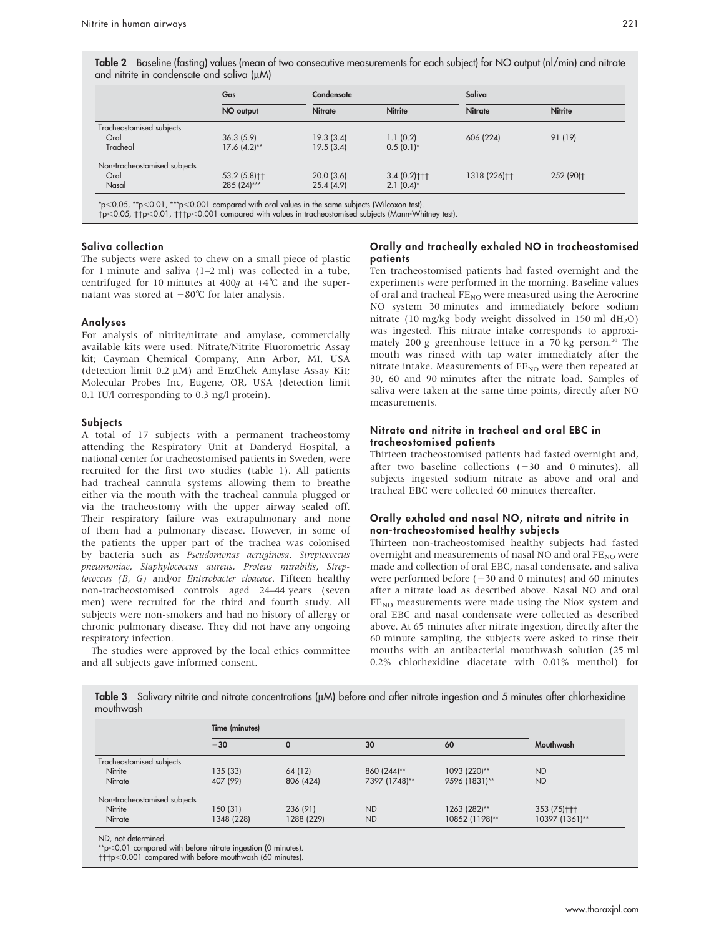Table 2 Baseline (fasting) values (mean of two consecutive measurements for each subject) for NO output (nl/min) and nitrate and nitrite in condensate and saliva (uM)

|                              | Gas             | Condensate     |                  | Saliva         |                |
|------------------------------|-----------------|----------------|------------------|----------------|----------------|
|                              | NO output       | <b>Nitrate</b> | <b>Nitrite</b>   | <b>Nitrate</b> | <b>Nitrite</b> |
| Tracheostomised subjects     |                 |                |                  |                |                |
| Oral                         | 36.3(5.9)       | 19.3(3.4)      | 1.1(0.2)         | 606 (224)      | 91 (19)        |
| Tracheal                     | $17.6 (4.2)$ ** | 19.5(3.4)      | $0.5(0.1)^{*}$   |                |                |
| Non-tracheostomised subjects |                 |                |                  |                |                |
| Oral                         | 53.2 (5.8) ++   | 20.0(3.6)      | $3.4(0.2)$ + + + | 1318 (226)++   | 252 (90)+      |
| Nasal                        | $285(24)***$    | 25.4(4.9)      | $2.1(0.4)^{*}$   |                |                |

p,0.05, p,0.01, p,0.001 compared with values in tracheostomised subjects (Mann-Whitney test).

# Saliva collection

The subjects were asked to chew on a small piece of plastic for 1 minute and saliva (1–2 ml) was collected in a tube, centrifuged for 10 minutes at 400g at  $+4^{\circ}$ C and the supernatant was stored at  $-80^{\circ}$ C for later analysis.

#### Analyses

For analysis of nitrite/nitrate and amylase, commercially available kits were used: Nitrate/Nitrite Fluorometric Assay kit; Cayman Chemical Company, Ann Arbor, MI, USA (detection limit  $0.2 \mu M$ ) and EnzChek Amylase Assay Kit; Molecular Probes Inc, Eugene, OR, USA (detection limit 0.1 IU/l corresponding to 0.3 ng/l protein).

#### Subjects

A total of 17 subjects with a permanent tracheostomy attending the Respiratory Unit at Danderyd Hospital, a national center for tracheostomised patients in Sweden, were recruited for the first two studies (table 1). All patients had tracheal cannula systems allowing them to breathe either via the mouth with the tracheal cannula plugged or via the tracheostomy with the upper airway sealed off. Their respiratory failure was extrapulmonary and none of them had a pulmonary disease. However, in some of the patients the upper part of the trachea was colonised by bacteria such as Pseudomonas aeruginosa, Streptococcus pneumoniae, Staphylococcus aureus, Proteus mirabilis, Streptococcus (B, G) and/or Enterobacter cloacace. Fifteen healthy non-tracheostomised controls aged 24–44 years (seven men) were recruited for the third and fourth study. All subjects were non-smokers and had no history of allergy or chronic pulmonary disease. They did not have any ongoing respiratory infection.

The studies were approved by the local ethics committee and all subjects gave informed consent.

# Orally and tracheally exhaled NO in tracheostomised patients

Ten tracheostomised patients had fasted overnight and the experiments were performed in the morning. Baseline values of oral and tracheal  $FE_{NO}$  were measured using the Aerocrine NO system 30 minutes and immediately before sodium nitrate (10 mg/kg body weight dissolved in 150 ml  $dH_2O$ ) was ingested. This nitrate intake corresponds to approximately 200 g greenhouse lettuce in a 70 kg person.<sup>20</sup> The mouth was rinsed with tap water immediately after the nitrate intake. Measurements of  $FE_{NO}$  were then repeated at 30, 60 and 90 minutes after the nitrate load. Samples of saliva were taken at the same time points, directly after NO measurements.

## Nitrate and nitrite in tracheal and oral EBC in tracheostomised patients

Thirteen tracheostomised patients had fasted overnight and, after two baseline collections  $(-30 \text{ and } 0 \text{ minutes})$ , all subjects ingested sodium nitrate as above and oral and tracheal EBC were collected 60 minutes thereafter.

# Orally exhaled and nasal NO, nitrate and nitrite in non-tracheostomised healthy subjects

Thirteen non-tracheostomised healthy subjects had fasted overnight and measurements of nasal NO and oral  $FE_{NO}$  were made and collection of oral EBC, nasal condensate, and saliva were performed before  $(-30$  and 0 minutes) and 60 minutes after a nitrate load as described above. Nasal NO and oral  $FE<sub>NO</sub>$  measurements were made using the Niox system and oral EBC and nasal condensate were collected as described above. At 65 minutes after nitrate ingestion, directly after the 60 minute sampling, the subjects were asked to rinse their mouths with an antibacterial mouthwash solution (25 ml 0.2% chlorhexidine diacetate with 0.01% menthol) for

|                              | Time (minutes) |            |               |                |                |  |
|------------------------------|----------------|------------|---------------|----------------|----------------|--|
|                              | $-30$          | 0          | 30            | 60             | Mouthwash      |  |
| Tracheostomised subjects     |                |            |               |                |                |  |
| Nitrite                      | 135 (33)       | 64 (12)    | 860 (244)**   | 1093 (220)**   | <b>ND</b>      |  |
| Nitrate                      | 407 (99)       | 806 (424)  | 7397 (1748)** | 9596 (1831)**  | <b>ND</b>      |  |
| Non-tracheostomised subjects |                |            |               |                |                |  |
| Nitrite                      | 150 (31)       | 236 (91)   | <b>ND</b>     | 1263 (282)**   | 353 (75) +++   |  |
| Nitrate                      | 1348 (228)     | 1288 (229) | <b>ND</b>     | 10852 (1198)** | 10397 (1361)** |  |

Table 3 Salivary nitrite and nitrate concentrations (mM) before and after nitrate ingestion and 5 minutes after chlorhexidine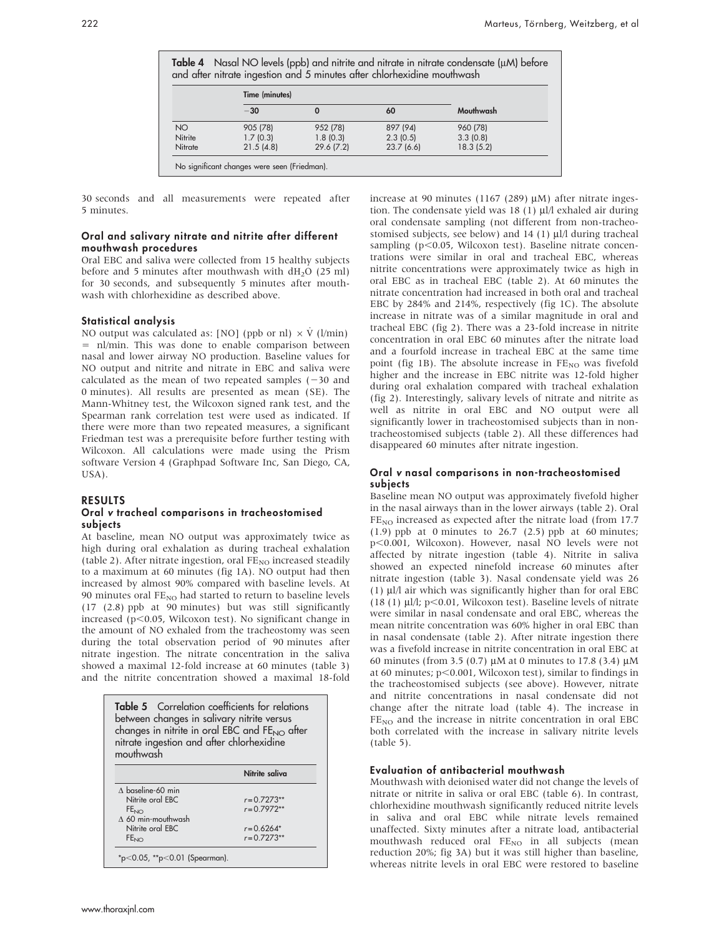|                 | Time (minutes) |           |           |           |
|-----------------|----------------|-----------|-----------|-----------|
|                 | $-30$          |           | 60        | Mouthwash |
| NO <sub>1</sub> | 905 (78)       | 952 (78)  | 897 (94)  | 960 (78)  |
| Nitrite         | 1.7(0.3)       | 1.8(0.3)  | 2.3(0.5)  | 3.3(0.8)  |
| Nitrate         | 21.5(4.8)      | 29.6(7.2) | 23.7(6.6) | 18.3(5.2) |

30 seconds and all measurements were repeated after 5 minutes.

### Oral and salivary nitrate and nitrite after different mouthwash procedures

Oral EBC and saliva were collected from 15 healthy subjects before and 5 minutes after mouthwash with  $dH<sub>2</sub>O$  (25 ml) for 30 seconds, and subsequently 5 minutes after mouthwash with chlorhexidine as described above.

# Statistical analysis

NO output was calculated as: [NO] (ppb or nl)  $\times$  V<sup> $($ </sup>l/min) = nl/min. This was done to enable comparison between nasal and lower airway NO production. Baseline values for NO output and nitrite and nitrate in EBC and saliva were calculated as the mean of two repeated samples  $(-30 \text{ and } 20)$ 0 minutes). All results are presented as mean (SE). The Mann-Whitney test, the Wilcoxon signed rank test, and the Spearman rank correlation test were used as indicated. If there were more than two repeated measures, a significant Friedman test was a prerequisite before further testing with Wilcoxon. All calculations were made using the Prism software Version 4 (Graphpad Software Inc, San Diego, CA, USA).

#### RESULTS

### Oral v tracheal comparisons in tracheostomised subjects

At baseline, mean NO output was approximately twice as high during oral exhalation as during tracheal exhalation (table 2). After nitrate ingestion, oral  $FE_{NO}$  increased steadily to a maximum at 60 minutes (fig 1A). NO output had then increased by almost 90% compared with baseline levels. At 90 minutes oral  $FE_{NO}$  had started to return to baseline levels (17 (2.8) ppb at 90 minutes) but was still significantly increased ( $p$ <0.05, Wilcoxon test). No significant change in the amount of NO exhaled from the tracheostomy was seen during the total observation period of 90 minutes after nitrate ingestion. The nitrate concentration in the saliva showed a maximal 12-fold increase at 60 minutes (table 3) and the nitrite concentration showed a maximal 18-fold

| between changes in salivary nitrite versus<br>changes in nitrite in oral EBC and FE <sub>NO</sub> after<br>nitrate ingestion and after chlorhexidine<br>mouthwash | <b>Table 5</b> Correlation coefficients for relations |
|-------------------------------------------------------------------------------------------------------------------------------------------------------------------|-------------------------------------------------------|
|                                                                                                                                                                   | Nitrite saliva                                        |
| $\land$ baseline-60 min                                                                                                                                           |                                                       |
| Nitrite oral EBC                                                                                                                                                  | $r = 0.7273**$                                        |
| FE <sub>NO</sub>                                                                                                                                                  | $r = 0.7972**$                                        |
| $\wedge$ 60 min-mouthwash                                                                                                                                         |                                                       |
|                                                                                                                                                                   |                                                       |
| Nitrite oral EBC                                                                                                                                                  | $r = 0.6264*$                                         |

increase at 90 minutes (1167 (289)  $\mu$ M) after nitrate ingestion. The condensate yield was  $18$  (1)  $\mu$ l/l exhaled air during oral condensate sampling (not different from non-tracheostomised subjects, see below) and  $14$  (1)  $\mu$ l/l during tracheal sampling ( $p<0.05$ , Wilcoxon test). Baseline nitrate concentrations were similar in oral and tracheal EBC, whereas nitrite concentrations were approximately twice as high in oral EBC as in tracheal EBC (table 2). At 60 minutes the nitrate concentration had increased in both oral and tracheal EBC by 284% and 214%, respectively (fig 1C). The absolute increase in nitrate was of a similar magnitude in oral and tracheal EBC (fig 2). There was a 23-fold increase in nitrite concentration in oral EBC 60 minutes after the nitrate load and a fourfold increase in tracheal EBC at the same time point (fig 1B). The absolute increase in  $FE_{NO}$  was fivefold higher and the increase in EBC nitrite was 12-fold higher during oral exhalation compared with tracheal exhalation (fig 2). Interestingly, salivary levels of nitrate and nitrite as well as nitrite in oral EBC and NO output were all significantly lower in tracheostomised subjects than in nontracheostomised subjects (table 2). All these differences had disappeared 60 minutes after nitrate ingestion.

### Oral v nasal comparisons in non-tracheostomised subjects

Baseline mean NO output was approximately fivefold higher in the nasal airways than in the lower airways (table 2). Oral FE<sub>NO</sub> increased as expected after the nitrate load (from 17.7 (1.9) ppb at 0 minutes to  $26.7$  (2.5) ppb at 60 minutes; p<0.001, Wilcoxon). However, nasal NO levels were not affected by nitrate ingestion (table 4). Nitrite in saliva showed an expected ninefold increase 60 minutes after nitrate ingestion (table 3). Nasal condensate yield was 26 (1)  $\mu$ l/l air which was significantly higher than for oral EBC (18 (1)  $\mu$ l/l; p<0.01, Wilcoxon test). Baseline levels of nitrate were similar in nasal condensate and oral EBC, whereas the mean nitrite concentration was 60% higher in oral EBC than in nasal condensate (table 2). After nitrate ingestion there was a fivefold increase in nitrite concentration in oral EBC at 60 minutes (from 3.5 (0.7)  $\mu$ M at 0 minutes to 17.8 (3.4)  $\mu$ M at 60 minutes;  $p<0.001$ , Wilcoxon test), similar to findings in the tracheostomised subjects (see above). However, nitrate and nitrite concentrations in nasal condensate did not change after the nitrate load (table 4). The increase in  $FE<sub>NO</sub>$  and the increase in nitrite concentration in oral EBC both correlated with the increase in salivary nitrite levels (table 5).

#### Evaluation of antibacterial mouthwash

Mouthwash with deionised water did not change the levels of nitrate or nitrite in saliva or oral EBC (table 6). In contrast, chlorhexidine mouthwash significantly reduced nitrite levels in saliva and oral EBC while nitrate levels remained unaffected. Sixty minutes after a nitrate load, antibacterial mouthwash reduced oral  $FE_{NO}$  in all subjects (mean reduction 20%; fig 3A) but it was still higher than baseline, whereas nitrite levels in oral EBC were restored to baseline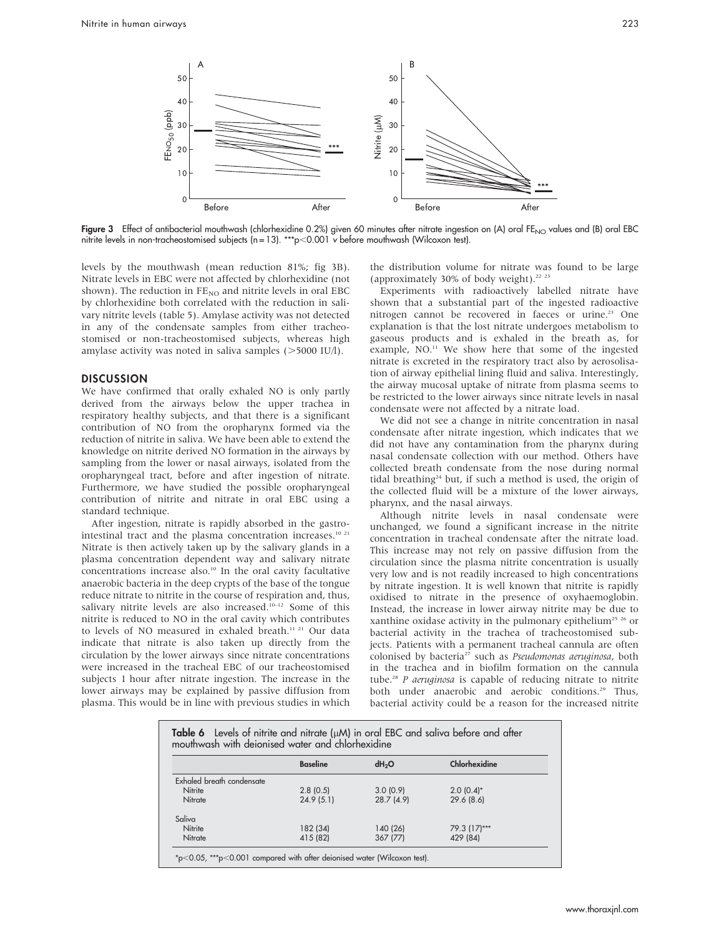

Figure 3 Effect of antibacterial mouthwash (chlorhexidine 0.2%) given 60 minutes after nitrate ingestion on (A) oral FE<sub>NO</sub> values and (B) oral EBC nitrite levels in non-tracheostomised subjects  $(n = 13)$ . \*\*\*p<0.001 v before mouthwash (Wilcoxon test).

levels by the mouthwash (mean reduction 81%; fig 3B). Nitrate levels in EBC were not affected by chlorhexidine (not shown). The reduction in  $FE_{NO}$  and nitrite levels in oral EBC by chlorhexidine both correlated with the reduction in salivary nitrite levels (table 5). Amylase activity was not detected in any of the condensate samples from either tracheostomised or non-tracheostomised subjects, whereas high amylase activity was noted in saliva samples  $($  > 5000 IU/l).

# **DISCUSSION**

We have confirmed that orally exhaled NO is only partly derived from the airways below the upper trachea in respiratory healthy subjects, and that there is a significant contribution of NO from the oropharynx formed via the reduction of nitrite in saliva. We have been able to extend the knowledge on nitrite derived NO formation in the airways by sampling from the lower or nasal airways, isolated from the oropharyngeal tract, before and after ingestion of nitrate. Furthermore, we have studied the possible oropharyngeal contribution of nitrite and nitrate in oral EBC using a standard technique.

After ingestion, nitrate is rapidly absorbed in the gastrointestinal tract and the plasma concentration increases.<sup>10 21</sup> Nitrate is then actively taken up by the salivary glands in a plasma concentration dependent way and salivary nitrate concentrations increase also.<sup>10</sup> In the oral cavity facultative anaerobic bacteria in the deep crypts of the base of the tongue reduce nitrate to nitrite in the course of respiration and, thus, salivary nitrite levels are also increased.<sup>10-12</sup> Some of this nitrite is reduced to NO in the oral cavity which contributes to levels of NO measured in exhaled breath.<sup>11 21</sup> Our data indicate that nitrate is also taken up directly from the circulation by the lower airways since nitrate concentrations were increased in the tracheal EBC of our tracheostomised subjects 1 hour after nitrate ingestion. The increase in the lower airways may be explained by passive diffusion from plasma. This would be in line with previous studies in which the distribution volume for nitrate was found to be large (approximately 30% of body weight). $22 23$ 

Experiments with radioactively labelled nitrate have shown that a substantial part of the ingested radioactive nitrogen cannot be recovered in faeces or urine.<sup>23</sup> One explanation is that the lost nitrate undergoes metabolism to gaseous products and is exhaled in the breath as, for example, NO.<sup>11</sup> We show here that some of the ingested nitrate is excreted in the respiratory tract also by aerosolisation of airway epithelial lining fluid and saliva. Interestingly, the airway mucosal uptake of nitrate from plasma seems to be restricted to the lower airways since nitrate levels in nasal condensate were not affected by a nitrate load.

We did not see a change in nitrite concentration in nasal condensate after nitrate ingestion, which indicates that we did not have any contamination from the pharynx during nasal condensate collection with our method. Others have collected breath condensate from the nose during normal tidal breathing<sup>24</sup> but, if such a method is used, the origin of the collected fluid will be a mixture of the lower airways, pharynx, and the nasal airways.

Although nitrite levels in nasal condensate were unchanged, we found a significant increase in the nitrite concentration in tracheal condensate after the nitrate load. This increase may not rely on passive diffusion from the circulation since the plasma nitrite concentration is usually very low and is not readily increased to high concentrations by nitrate ingestion. It is well known that nitrite is rapidly oxidised to nitrate in the presence of oxyhaemoglobin. Instead, the increase in lower airway nitrite may be due to xanthine oxidase activity in the pulmonary epithelium<sup>25</sup>  $26$  or bacterial activity in the trachea of tracheostomised subjects. Patients with a permanent tracheal cannula are often colonised by bacteria $27$  such as *Pseudomonas aeruginosa*, both in the trachea and in biofilm formation on the cannula tube.<sup>28</sup> P aeruginosa is capable of reducing nitrate to nitrite both under anaerobic and aerobic conditions.<sup>29</sup> Thus, bacterial activity could be a reason for the increased nitrite

|                           | <b>Baseline</b> | dH <sub>2</sub> O | Chlorhexidine |
|---------------------------|-----------------|-------------------|---------------|
| Exhaled breath condensate |                 |                   |               |
| Nitrite                   | 2.8(0.5)        | 3.0(0.9)          | $2.0(0.4)$ *  |
| Nitrate                   | 24.9(5.1)       | 28.7(4.9)         | 29.6(8.6)     |
| Saliva                    |                 |                   |               |
| Nitrite                   | 182 (34)        | 140 (26)          | 79.3 (17)***  |
| Nitrate                   | 415 (82)        | 367 (77)          | 429 (84)      |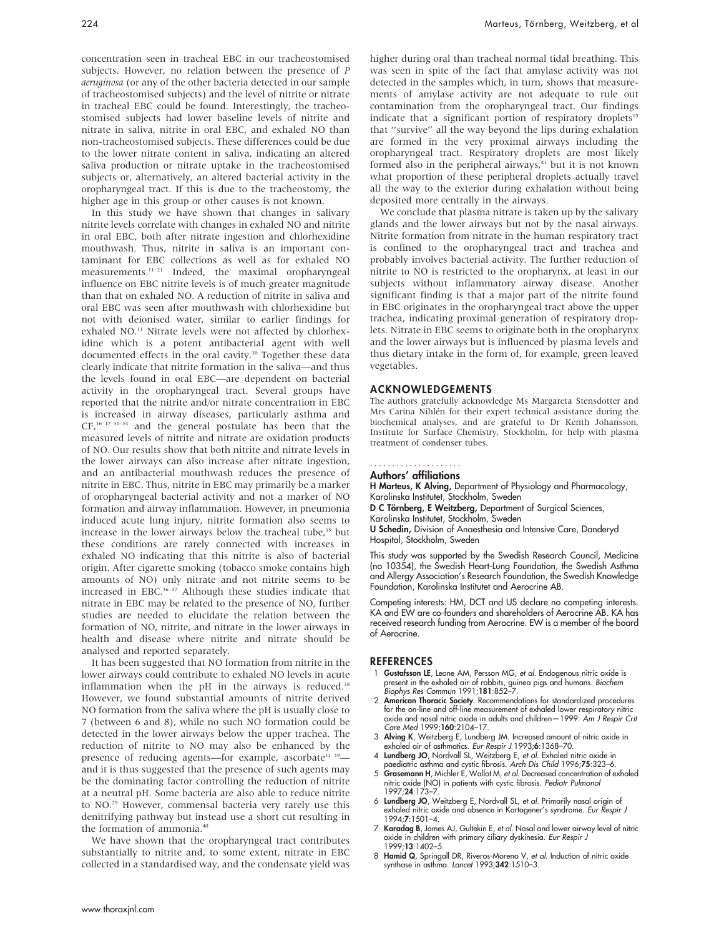concentration seen in tracheal EBC in our tracheostomised subjects. However, no relation between the presence of P aeruginosa (or any of the other bacteria detected in our sample of tracheostomised subjects) and the level of nitrite or nitrate in tracheal EBC could be found. Interestingly, the tracheostomised subjects had lower baseline levels of nitrite and nitrate in saliva, nitrite in oral EBC, and exhaled NO than non-tracheostomised subjects. These differences could be due to the lower nitrate content in saliva, indicating an altered saliva production or nitrate uptake in the tracheostomised subjects or, alternatively, an altered bacterial activity in the oropharyngeal tract. If this is due to the tracheostomy, the higher age in this group or other causes is not known.

In this study we have shown that changes in salivary nitrite levels correlate with changes in exhaled NO and nitrite in oral EBC, both after nitrate ingestion and chlorhexidine mouthwash. Thus, nitrite in saliva is an important contaminant for EBC collections as well as for exhaled NO measurements.11 21 Indeed, the maximal oropharyngeal influence on EBC nitrite levels is of much greater magnitude than that on exhaled NO. A reduction of nitrite in saliva and oral EBC was seen after mouthwash with chlorhexidine but not with deionised water, similar to earlier findings for exhaled NO.<sup>11</sup> Nitrate levels were not affected by chlorhexidine which is a potent antibacterial agent with well documented effects in the oral cavity.<sup>30</sup> Together these data clearly indicate that nitrite formation in the saliva—and thus the levels found in oral EBC—are dependent on bacterial activity in the oropharyngeal tract. Several groups have reported that the nitrite and/or nitrate concentration in EBC is increased in airway diseases, particularly asthma and CF,16 17 31–34 and the general postulate has been that the measured levels of nitrite and nitrate are oxidation products of NO. Our results show that both nitrite and nitrate levels in the lower airways can also increase after nitrate ingestion, and an antibacterial mouthwash reduces the presence of nitrite in EBC. Thus, nitrite in EBC may primarily be a marker of oropharyngeal bacterial activity and not a marker of NO formation and airway inflammation. However, in pneumonia induced acute lung injury, nitrite formation also seems to increase in the lower airways below the tracheal tube,<sup>35</sup> but these conditions are rarely connected with increases in exhaled NO indicating that this nitrite is also of bacterial origin. After cigarette smoking (tobacco smoke contains high amounts of NO) only nitrate and not nitrite seems to be increased in EBC.<sup>36 37</sup> Although these studies indicate that nitrate in EBC may be related to the presence of NO, further studies are needed to elucidate the relation between the formation of NO, nitrite, and nitrate in the lower airways in health and disease where nitrite and nitrate should be analysed and reported separately.

It has been suggested that NO formation from nitrite in the lower airways could contribute to exhaled NO levels in acute inflammation when the pH in the airways is reduced.<sup>38</sup> However, we found substantial amounts of nitrite derived NO formation from the saliva where the pH is usually close to 7 (between 6 and 8), while no such NO formation could be detected in the lower airways below the upper trachea. The reduction of nitrite to NO may also be enhanced by the presence of reducing agents—for example, ascorbate<sup>11 39</sup> and it is thus suggested that the presence of such agents may be the dominating factor controlling the reduction of nitrite at a neutral pH. Some bacteria are also able to reduce nitrite to NO.29 However, commensal bacteria very rarely use this denitrifying pathway but instead use a short cut resulting in the formation of ammonia.<sup>40</sup>

We have shown that the oropharyngeal tract contributes substantially to nitrite and, to some extent, nitrate in EBC collected in a standardised way, and the condensate yield was higher during oral than tracheal normal tidal breathing. This was seen in spite of the fact that amylase activity was not detected in the samples which, in turn, shows that measurements of amylase activity are not adequate to rule out contamination from the oropharyngeal tract. Our findings indicate that a significant portion of respiratory droplets<sup>15</sup> that ''survive'' all the way beyond the lips during exhalation are formed in the very proximal airways including the oropharyngeal tract. Respiratory droplets are most likely formed also in the peripheral airways, $41$  but it is not known what proportion of these peripheral droplets actually travel all the way to the exterior during exhalation without being deposited more centrally in the airways.

We conclude that plasma nitrate is taken up by the salivary glands and the lower airways but not by the nasal airways. Nitrite formation from nitrate in the human respiratory tract is confined to the oropharyngeal tract and trachea and probably involves bacterial activity. The further reduction of nitrite to NO is restricted to the oropharynx, at least in our subjects without inflammatory airway disease. Another significant finding is that a major part of the nitrite found in EBC originates in the oropharyngeal tract above the upper trachea, indicating proximal generation of respiratory droplets. Nitrate in EBC seems to originate both in the oropharynx and the lower airways but is influenced by plasma levels and thus dietary intake in the form of, for example, green leaved vegetables.

#### ACKNOWLEDGEMENTS

The authors gratefully acknowledge Ms Margareta Stensdotter and Mrs Carina Nihlén for their expert technical assistance during the biochemical analyses, and are grateful to Dr Kenth Johansson, Institute for Surface Chemistry, Stockholm, for help with plasma treatment of condenser tubes.

#### Authors' affiliations .....................

H Marteus, K Alving, Department of Physiology and Pharmacology, Karolinska Institutet, Stockholm, Sweden

D C Törnberg, E Weitzberg, Department of Surgical Sciences, Karolinska Institutet, Stockholm, Sweden

U Schedin, Division of Anaesthesia and Intensive Care, Danderyd Hospital, Stockholm, Sweden

This study was supported by the Swedish Research Council, Medicine (no 10354), the Swedish Heart-Lung Foundation, the Swedish Asthma and Allergy Association's Research Foundation, the Swedish Knowledge Foundation, Karolinska Institutet and Aerocrine AB.

Competing interests: HM, DCT and US declare no competing interests. KA and EW are co-founders and shareholders of Aerocrine AB. KA has received research funding from Aerocrine. EW is a member of the board of Aerocrine.

### **REFERENCES**

- Gustafsson LE, Leone AM, Persson MG, et al. Endogenous nitric oxide is present in the exhaled air of rabbits, guinea pigs and humans. *Biochem*<br>*Biophys Res Commun* 1991;**181**:852–7.
- 2 American Thoracic Society. Recommendations for standardized procedures for the on-line and off-line measurement of exhaled lower respiratory nitric oxide and nasal nitric oxide in adults and children—1999. Am J Respir Crit Care Med 1999;160:2104–17.
- 3 Alving K, Weitzberg E, Lundberg JM. Increased amount of nitric oxide in exhaled air of asthmatics. Eur Respir J 1993;6:1368–70.
- 4 **Lundberg JO**, Nordvall SL, Weitzberg E, *et al.* Exhaled nitric oxide in<br>1996;75:323–6. paediatric asthma and cystic fibrosis. Arch Dis Child 1996;75:323–6<br>5 Grasemann H, Michler E, Wallot M, *et al.* Decreased concentr
- nitric oxide (NO) in patients with cystic fibrosis. Pediatr Pulmonol 1997;24:173–7.
- 6 Lundberg JO, Weitzberg E, Nordvall SL, et al. Primarily nasal origin of exhaled nitric oxide and absence in Kartagener's syndrome. Eur Respir J 1994;7:1501–4.
- 7 Karadag B, James AJ, Gultekin E, et al. Nasal and lower airway level of nitric oxide in children with primary ciliary dyskinesia. Eur Respir J 1999;13:1402–5.
- 8 Hamid Q, Springall DR, Riveros-Moreno V, et al. Induction of nitric oxide synthase in asthma. Lancet 1993;342:1510-3.